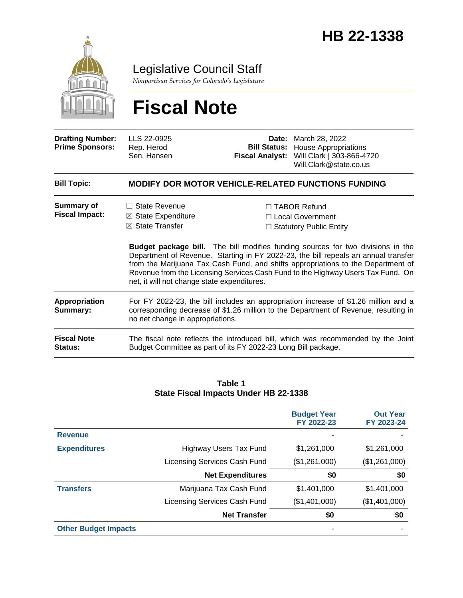

Legislative Council Staff

*Nonpartisan Services for Colorado's Legislature*

# **Fiscal Note**

| <b>Drafting Number:</b><br><b>Prime Sponsors:</b> | LLS 22-0925<br>Rep. Herod<br>Sen. Hansen                                                                                                                                                                       | <b>Bill Status:</b><br><b>Fiscal Analyst:</b> | <b>Date:</b> March 28, 2022<br><b>House Appropriations</b><br>Will Clark   303-866-4720<br>Will.Clark@state.co.us                                                                                                                                                                                                                                                                                                                       |  |
|---------------------------------------------------|----------------------------------------------------------------------------------------------------------------------------------------------------------------------------------------------------------------|-----------------------------------------------|-----------------------------------------------------------------------------------------------------------------------------------------------------------------------------------------------------------------------------------------------------------------------------------------------------------------------------------------------------------------------------------------------------------------------------------------|--|
| <b>Bill Topic:</b>                                | <b>MODIFY DOR MOTOR VEHICLE-RELATED FUNCTIONS FUNDING</b>                                                                                                                                                      |                                               |                                                                                                                                                                                                                                                                                                                                                                                                                                         |  |
| <b>Summary of</b><br><b>Fiscal Impact:</b>        | <b>State Revenue</b><br>$\boxtimes$ State Expenditure<br>$\boxtimes$ State Transfer<br>net, it will not change state expenditures.                                                                             |                                               | $\Box$ TABOR Refund<br>$\Box$ Local Government<br>$\Box$ Statutory Public Entity<br><b>Budget package bill.</b> The bill modifies funding sources for two divisions in the<br>Department of Revenue. Starting in FY 2022-23, the bill repeals an annual transfer<br>from the Marijuana Tax Cash Fund, and shifts appropriations to the Department of<br>Revenue from the Licensing Services Cash Fund to the Highway Users Tax Fund. On |  |
| Appropriation<br>Summary:                         | For FY 2022-23, the bill includes an appropriation increase of \$1.26 million and a<br>corresponding decrease of \$1.26 million to the Department of Revenue, resulting in<br>no net change in appropriations. |                                               |                                                                                                                                                                                                                                                                                                                                                                                                                                         |  |
| <b>Fiscal Note</b><br><b>Status:</b>              | The fiscal note reflects the introduced bill, which was recommended by the Joint<br>Budget Committee as part of its FY 2022-23 Long Bill package.                                                              |                                               |                                                                                                                                                                                                                                                                                                                                                                                                                                         |  |

#### **Table 1 State Fiscal Impacts Under HB 22-1338**

|                             |                              | <b>Budget Year</b><br>FY 2022-23 | <b>Out Year</b><br>FY 2023-24 |
|-----------------------------|------------------------------|----------------------------------|-------------------------------|
| <b>Revenue</b>              |                              |                                  |                               |
| <b>Expenditures</b>         | Highway Users Tax Fund       | \$1,261,000                      | \$1,261,000                   |
|                             | Licensing Services Cash Fund | (\$1,261,000)                    | (\$1,261,000)                 |
|                             | <b>Net Expenditures</b>      | \$0                              | \$0                           |
| <b>Transfers</b>            | Marijuana Tax Cash Fund      | \$1,401,000                      | \$1,401,000                   |
|                             | Licensing Services Cash Fund | (\$1,401,000)                    | (\$1,401,000)                 |
|                             | <b>Net Transfer</b>          | \$0                              | \$0                           |
| <b>Other Budget Impacts</b> |                              |                                  |                               |